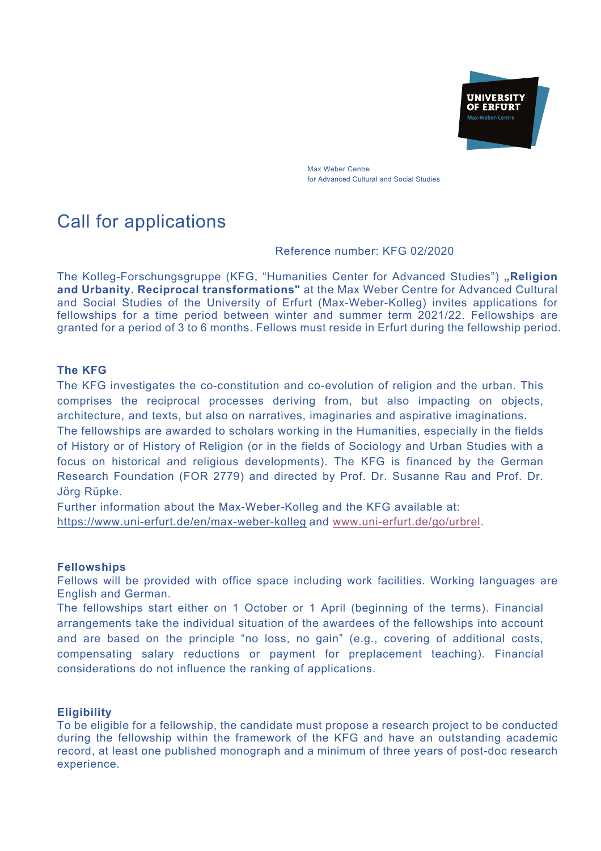

Max Weber Centre for Advanced Cultural and Social Studies

# Call for applications

# Reference number: KFG 02/2020

The Kolleg-Forschungsgruppe (KFG, "Humanities Center for Advanced Studies") **"Religion and Urbanity. Reciprocal transformations"** at the Max Weber Centre for Advanced Cultural and Social Studies of the University of Erfurt (Max-Weber-Kolleg) invites applications for fellowships for a time period between winter and summer term 2021/22. Fellowships are granted for a period of 3 to 6 months. Fellows must reside in Erfurt during the fellowship period.

# **The KFG**

The KFG investigates the co-constitution and co-evolution of religion and the urban. This comprises the reciprocal processes deriving from, but also impacting on objects, architecture, and texts, but also on narratives, imaginaries and aspirative imaginations. The fellowships are awarded to scholars working in the Humanities, especially in the fields of History or of History of Religion (or in the fields of Sociology and Urban Studies with a focus on historical and religious developments). The KFG is financed by the German Research Foundation (FOR 2779) and directed by Prof. Dr. Susanne Rau and Prof. Dr. Jörg Rüpke.

Further information about the Max-Weber-Kolleg and the KFG available at: https://www.uni-erfurt.de/en/max-weber-kolleg and www.uni-erfurt.de/go/urbrel.

### **Fellowships**

Fellows will be provided with office space including work facilities. Working languages are English and German.

The fellowships start either on 1 October or 1 April (beginning of the terms). Financial arrangements take the individual situation of the awardees of the fellowships into account and are based on the principle "no loss, no gain" (e.g., covering of additional costs, compensating salary reductions or payment for preplacement teaching). Financial considerations do not influence the ranking of applications.

### **Eligibility**

To be eligible for a fellowship, the candidate must propose a research project to be conducted during the fellowship within the framework of the KFG and have an outstanding academic record, at least one published monograph and a minimum of three years of post-doc research experience.